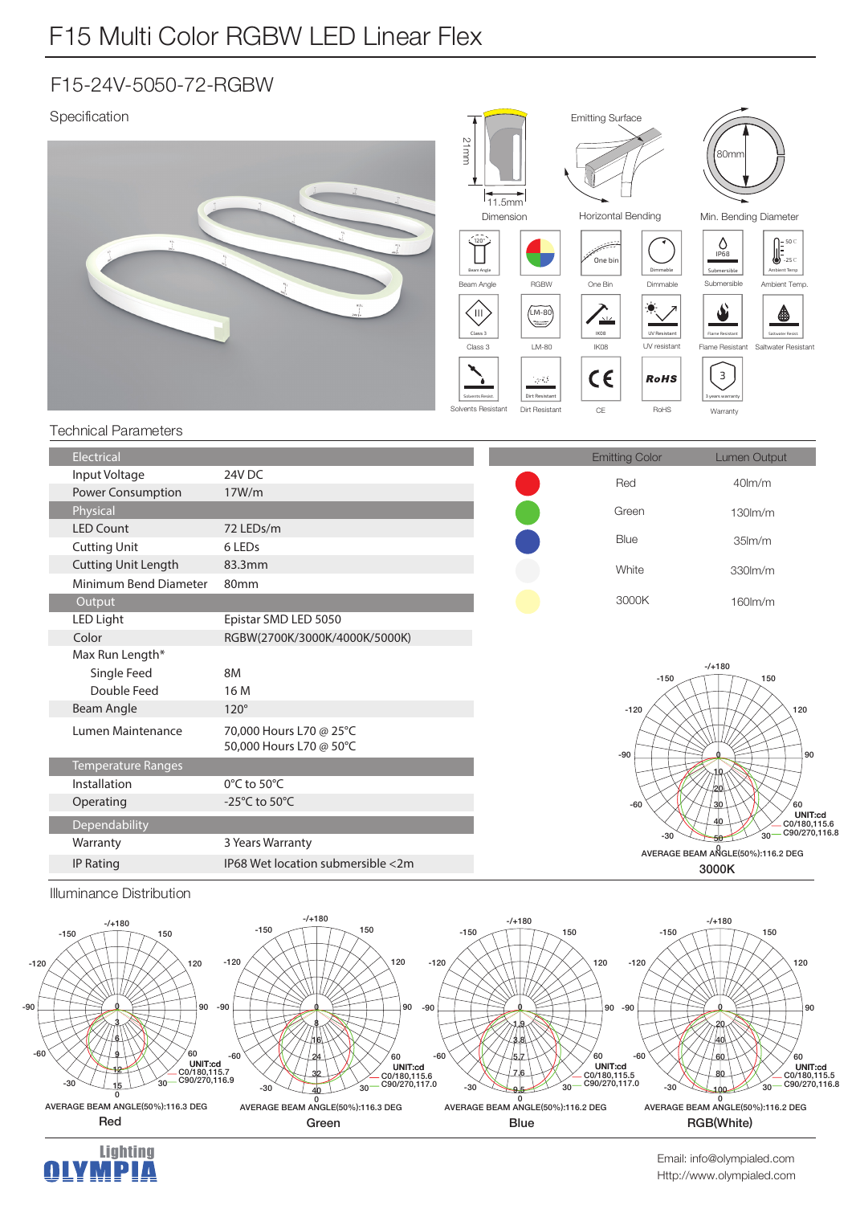## F15-24V-5050-72-RGBW

 $^{\circ}$ 

AVERAGE BEAM ANGLE(50%):116.3 DEG

**Lighting** 

M DI A

-60

 $-30$ 

30

60

**6/07/180,115.7<br>C0/180,115.7<br>C90/270,116.9** 

-60

 $-30$ 

AVERAGE BEAM ANGLE(50%):116.3 DEG

နှ 16 24  $3<sup>2</sup>$ 

ັລດ

 $60$ 

**6/00/180,115.6** C<sub>90</sub>/270,117.0

**"7&3"(&#&"."/(-& %&(**

-30

1.9 3.8 5.7  $7.6$  $9<sub>5</sub>$ 

 $-60$ 

**3FE (SFFO #MVF 3(# 8IJUF** 

ັລດ

60

LINIT:cd  $C_0$ <sup>180</sup> 115 5 C90/270,117.0

-60

 $-30$ 



Http://www.olympialed.com Email: info@olympialed.com

0<br>AVERAGE BEAM ANGLE(50%):116.2 DEG

RGB(White)

ั้วก

60

y<br>C0/180.115.5 C0/180,115.5<br>C90/270,116.8